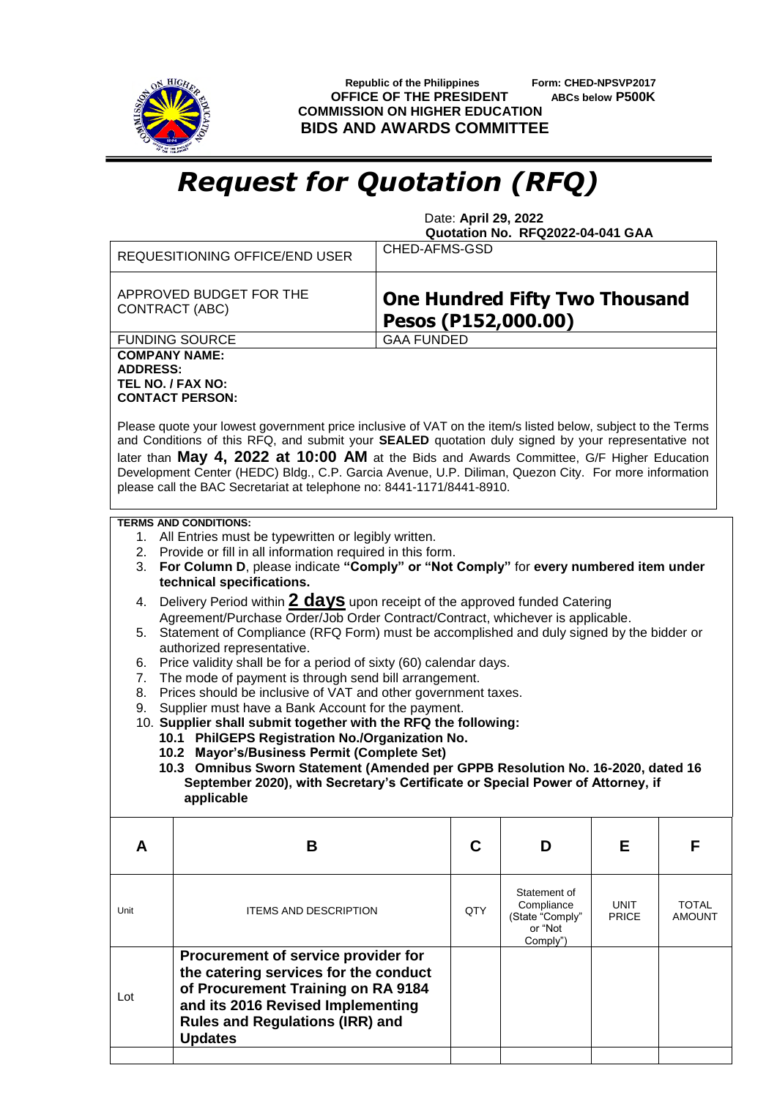

**Republic of the Philippines** Form: CHED-NPSVP2017<br>**FFICE OF THE PRESIDENT** ABCs below P500K **OFFICE OF THE PRESIDENT COMMISSION ON HIGHER EDUCATION BIDS AND AWARDS COMMITTEE**

## *Request for Quotation (RFQ)*

 Date: **April 29, 2022 Quotation No. RFQ2022-04-041 GAA**

| APPROVED BUDGET FOR THE<br>CONTRACT (ABC)<br><b>GAA FUNDED</b><br><b>FUNDING SOURCE</b><br><b>COMPANY NAME:</b><br><b>ADDRESS:</b><br>TEL NO. / FAX NO:<br><b>CONTACT PERSON:</b>                                                                                                                                                                                                                                                                                                                                                                                                                                                                              |                                                                             |                                                              |                               |  |  |  |  |
|----------------------------------------------------------------------------------------------------------------------------------------------------------------------------------------------------------------------------------------------------------------------------------------------------------------------------------------------------------------------------------------------------------------------------------------------------------------------------------------------------------------------------------------------------------------------------------------------------------------------------------------------------------------|-----------------------------------------------------------------------------|--------------------------------------------------------------|-------------------------------|--|--|--|--|
|                                                                                                                                                                                                                                                                                                                                                                                                                                                                                                                                                                                                                                                                |                                                                             | <b>One Hundred Fifty Two Thousand</b><br>Pesos (P152,000.00) |                               |  |  |  |  |
|                                                                                                                                                                                                                                                                                                                                                                                                                                                                                                                                                                                                                                                                |                                                                             |                                                              |                               |  |  |  |  |
| Please quote your lowest government price inclusive of VAT on the item/s listed below, subject to the Terms<br>and Conditions of this RFQ, and submit your SEALED quotation duly signed by your representative not<br>later than May 4, 2022 at 10:00 AM at the Bids and Awards Committee, G/F Higher Education<br>Development Center (HEDC) Bldg., C.P. Garcia Avenue, U.P. Diliman, Quezon City. For more information<br>please call the BAC Secretariat at telephone no: 8441-1171/8441-8910.                                                                                                                                                               |                                                                             |                                                              |                               |  |  |  |  |
| <b>TERMS AND CONDITIONS:</b><br>1. All Entries must be typewritten or legibly written.<br>2. Provide or fill in all information required in this form.<br>3. For Column D, please indicate "Comply" or "Not Comply" for every numbered item under<br>technical specifications.                                                                                                                                                                                                                                                                                                                                                                                 |                                                                             |                                                              |                               |  |  |  |  |
| 4.                                                                                                                                                                                                                                                                                                                                                                                                                                                                                                                                                                                                                                                             | Delivery Period within 2 days upon receipt of the approved funded Catering  |                                                              |                               |  |  |  |  |
| Agreement/Purchase Order/Job Order Contract/Contract, whichever is applicable.<br>5. Statement of Compliance (RFQ Form) must be accomplished and duly signed by the bidder or                                                                                                                                                                                                                                                                                                                                                                                                                                                                                  |                                                                             |                                                              |                               |  |  |  |  |
| authorized representative.<br>Price validity shall be for a period of sixty (60) calendar days.<br>6.<br>The mode of payment is through send bill arrangement.<br>7.<br>Prices should be inclusive of VAT and other government taxes.<br>8.<br>Supplier must have a Bank Account for the payment.<br>9.<br>10. Supplier shall submit together with the RFQ the following:<br>10.1 PhilGEPS Registration No./Organization No.<br>10.2 Mayor's/Business Permit (Complete Set)<br>10.3 Omnibus Sworn Statement (Amended per GPPB Resolution No. 16-2020, dated 16<br>September 2020), with Secretary's Certificate or Special Power of Attorney, if<br>applicable |                                                                             |                                                              |                               |  |  |  |  |
|                                                                                                                                                                                                                                                                                                                                                                                                                                                                                                                                                                                                                                                                |                                                                             |                                                              |                               |  |  |  |  |
| В<br>A                                                                                                                                                                                                                                                                                                                                                                                                                                                                                                                                                                                                                                                         | C<br>D                                                                      | Е                                                            | F                             |  |  |  |  |
| <b>ITEMS AND DESCRIPTION</b><br>Unit                                                                                                                                                                                                                                                                                                                                                                                                                                                                                                                                                                                                                           | Statement of<br>Compliance<br>QTY<br>(State "Comply"<br>or "Not<br>Comply") | UNIT<br><b>PRICE</b>                                         | <b>TOTAL</b><br><b>AMOUNT</b> |  |  |  |  |
| Procurement of service provider for<br>the catering services for the conduct<br>of Procurement Training on RA 9184<br>Lot<br>and its 2016 Revised Implementing<br><b>Rules and Regulations (IRR) and</b><br><b>Updates</b>                                                                                                                                                                                                                                                                                                                                                                                                                                     |                                                                             |                                                              |                               |  |  |  |  |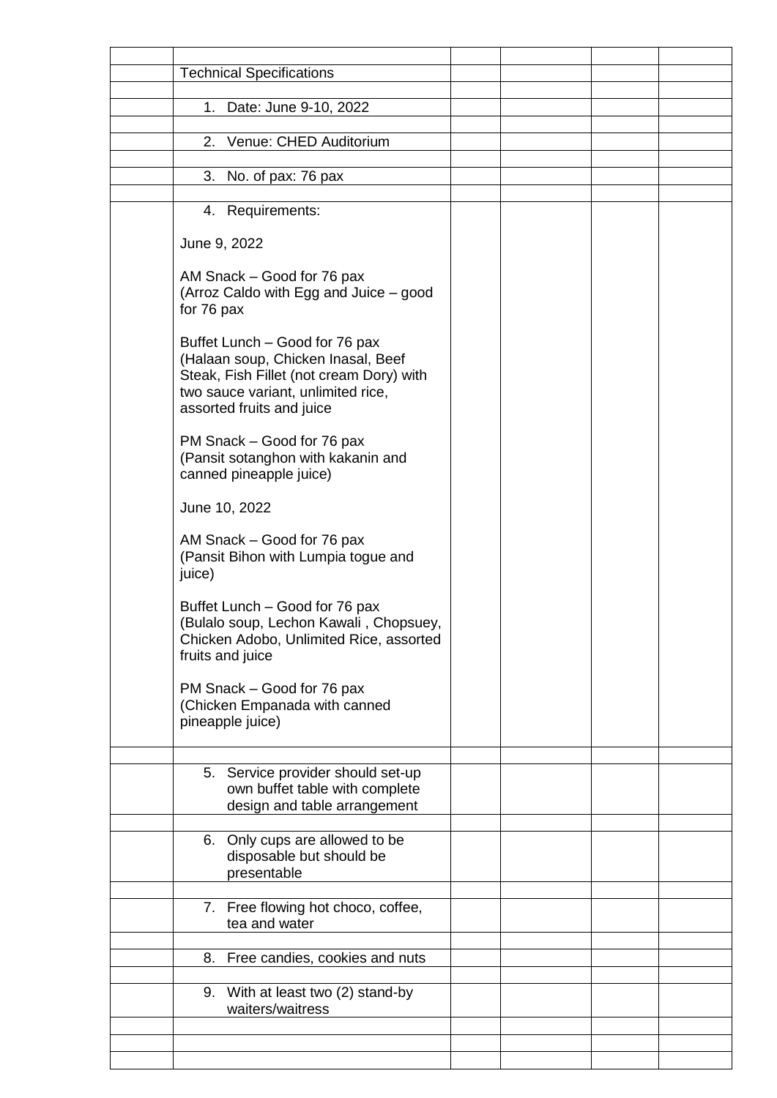| <b>Technical Specifications</b>                                                                                                                                                     |  |  |
|-------------------------------------------------------------------------------------------------------------------------------------------------------------------------------------|--|--|
| 1. Date: June 9-10, 2022                                                                                                                                                            |  |  |
| Venue: CHED Auditorium<br>2.                                                                                                                                                        |  |  |
|                                                                                                                                                                                     |  |  |
| 3. No. of pax: 76 pax                                                                                                                                                               |  |  |
| 4. Requirements:                                                                                                                                                                    |  |  |
| June 9, 2022                                                                                                                                                                        |  |  |
| AM Snack – Good for 76 pax<br>(Arroz Caldo with Egg and Juice – good<br>for 76 pax                                                                                                  |  |  |
| Buffet Lunch - Good for 76 pax<br>(Halaan soup, Chicken Inasal, Beef<br>Steak, Fish Fillet (not cream Dory) with<br>two sauce variant, unlimited rice,<br>assorted fruits and juice |  |  |
| PM Snack - Good for 76 pax<br>(Pansit sotanghon with kakanin and<br>canned pineapple juice)                                                                                         |  |  |
| June 10, 2022                                                                                                                                                                       |  |  |
| AM Snack – Good for 76 pax<br>(Pansit Bihon with Lumpia togue and<br>juice)                                                                                                         |  |  |
| Buffet Lunch – Good for 76 pax<br>(Bulalo soup, Lechon Kawali, Chopsuey,<br>Chicken Adobo, Unlimited Rice, assorted<br>fruits and juice                                             |  |  |
| PM Snack – Good for 76 pax<br>(Chicken Empanada with canned<br>pineapple juice)                                                                                                     |  |  |
| 5. Service provider should set-up<br>own buffet table with complete<br>design and table arrangement                                                                                 |  |  |
| 6. Only cups are allowed to be<br>disposable but should be<br>presentable                                                                                                           |  |  |
| 7. Free flowing hot choco, coffee,<br>tea and water                                                                                                                                 |  |  |
| 8. Free candies, cookies and nuts                                                                                                                                                   |  |  |
| 9. With at least two (2) stand-by                                                                                                                                                   |  |  |
| waiters/waitress                                                                                                                                                                    |  |  |
|                                                                                                                                                                                     |  |  |
|                                                                                                                                                                                     |  |  |